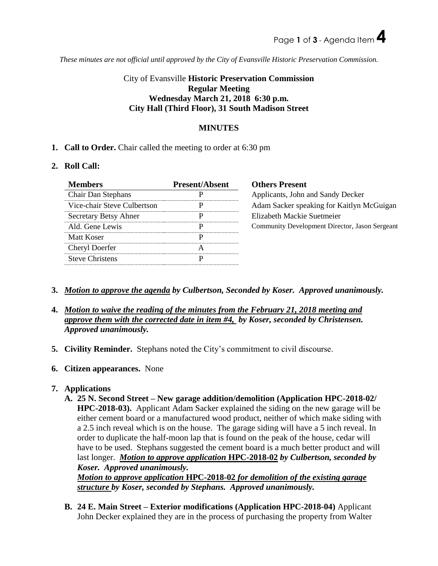*These minutes are not official until approved by the City of Evansville Historic Preservation Commission.*

# City of Evansville **Historic Preservation Commission Regular Meeting Wednesday March 21, 2018 6:30 p.m. City Hall (Third Floor), 31 South Madison Street**

### **MINUTES**

**1. Call to Order.** Chair called the meeting to order at 6:30 pm

#### **2. Roll Call:**

| <b>Members</b>              | <b>Present/Absent</b> | <b>Others Present</b>                          |
|-----------------------------|-----------------------|------------------------------------------------|
| Chair Dan Stephans          | р                     | Applicants, John and Sandy Decker              |
| Vice-chair Steve Culbertson | р                     | Adam Sacker speaking for Kaitlyn McGuigan      |
| Secretary Betsy Ahner       | р                     | Elizabeth Mackie Suetmeier                     |
| Ald. Gene Lewis             | Р                     | Community Development Director, Jason Sergeant |
| Matt Koser                  | р                     |                                                |
| Cheryl Doerfer              | A                     |                                                |
| <b>Steve Christens</b>      | р                     |                                                |

- **3.** *Motion to approve the agenda by Culbertson, Seconded by Koser. Approved unanimously.*
- **4.** *Motion to waive the reading of the minutes from the February 21, 2018 meeting and approve them with the corrected date in item #4, by Koser, seconded by Christensen. Approved unanimously.*
- **5. Civility Reminder.** Stephans noted the City's commitment to civil discourse.
- **6. Citizen appearances.** None

## **7. Applications**

**A. 25 N. Second Street – New garage addition/demolition (Application HPC-2018-02/ HPC-2018-03).** Applicant Adam Sacker explained the siding on the new garage will be either cement board or a manufactured wood product, neither of which make siding with a 2.5 inch reveal which is on the house. The garage siding will have a 5 inch reveal. In order to duplicate the half-moon lap that is found on the peak of the house, cedar will have to be used. Stephans suggested the cement board is a much better product and will last longer. *Motion to approve application* **HPC-2018-02** *by Culbertson, seconded by Koser. Approved unanimously.*

*Motion to approve application* **HPC-2018-02** *for demolition of the existing garage structure by Koser, seconded by Stephans. Approved unanimously.* 

**B. 24 E. Main Street – Exterior modifications (Application HPC-2018-04)** Applicant John Decker explained they are in the process of purchasing the property from Walter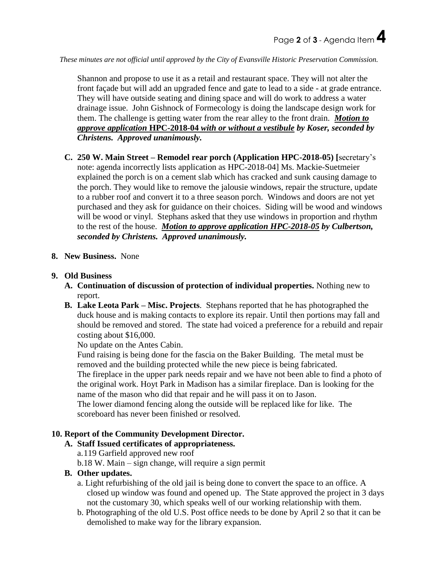*These minutes are not official until approved by the City of Evansville Historic Preservation Commission.*

Shannon and propose to use it as a retail and restaurant space. They will not alter the front façade but will add an upgraded fence and gate to lead to a side - at grade entrance. They will have outside seating and dining space and will do work to address a water drainage issue. John Gishnock of Formecology is doing the landscape design work for them. The challenge is getting water from the rear alley to the front drain. *Motion to approve application* **HPC-2018-04** *with or without a vestibule by Koser, seconded by Christens. Approved unanimously.* 

**C. 250 W. Main Street – Remodel rear porch (Application HPC-2018-05) [**secretary's note: agenda incorrectly lists application as HPC-2018-04] Ms. Mackie-Suetmeier explained the porch is on a cement slab which has cracked and sunk causing damage to the porch. They would like to remove the jalousie windows, repair the structure, update to a rubber roof and convert it to a three season porch. Windows and doors are not yet purchased and they ask for guidance on their choices. Siding will be wood and windows will be wood or vinyl. Stephans asked that they use windows in proportion and rhythm to the rest of the house. *Motion to approve application HPC-2018-05 by Culbertson, seconded by Christens. Approved unanimously.* 

#### **8. New Business.** None

#### **9. Old Business**

- **A. Continuation of discussion of protection of individual properties.** Nothing new to report.
- **B. Lake Leota Park – Misc. Projects**. Stephans reported that he has photographed the duck house and is making contacts to explore its repair. Until then portions may fall and should be removed and stored. The state had voiced a preference for a rebuild and repair costing about \$16,000.

No update on the Antes Cabin.

Fund raising is being done for the fascia on the Baker Building. The metal must be removed and the building protected while the new piece is being fabricated. The fireplace in the upper park needs repair and we have not been able to find a photo of the original work. Hoyt Park in Madison has a similar fireplace. Dan is looking for the name of the mason who did that repair and he will pass it on to Jason.

The lower diamond fencing along the outside will be replaced like for like. The scoreboard has never been finished or resolved.

#### **10. Report of the Community Development Director.**

#### **A. Staff Issued certificates of appropriateness.**

a.119 Garfield approved new roof

b.18 W. Main – sign change, will require a sign permit

#### **B. Other updates.**

- a. Light refurbishing of the old jail is being done to convert the space to an office. A closed up window was found and opened up. The State approved the project in 3 days not the customary 30, which speaks well of our working relationship with them.
- b. Photographing of the old U.S. Post office needs to be done by April 2 so that it can be demolished to make way for the library expansion.